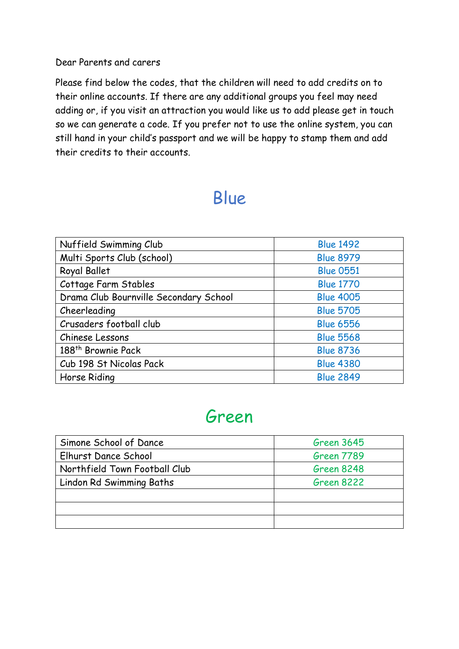#### Dear Parents and carers

Please find below the codes, that the children will need to add credits on to their online accounts. If there are any additional groups you feel may need adding or, if you visit an attraction you would like us to add please get in touch so we can generate a code. If you prefer not to use the online system, you can still hand in your child's passport and we will be happy to stamp them and add their credits to their accounts.

### Blue

| Nuffield Swimming Club                 | <b>Blue 1492</b> |
|----------------------------------------|------------------|
| Multi Sports Club (school)             | <b>Blue 8979</b> |
| Royal Ballet                           | <b>Blue 0551</b> |
| Cottage Farm Stables                   | <b>Blue 1770</b> |
| Drama Club Bournville Secondary School | <b>Blue 4005</b> |
| Cheerleading                           | <b>Blue 5705</b> |
| Crusaders football club                | <b>Blue 6556</b> |
| Chinese Lessons                        | <b>Blue 5568</b> |
| 188 <sup>th</sup> Brownie Pack         | <b>Blue 8736</b> |
| Cub 198 St Nicolas Pack                | <b>Blue 4380</b> |
| Horse Riding                           | <b>Blue 2849</b> |

#### Green

| Simone School of Dance        | <b>Green 3645</b> |
|-------------------------------|-------------------|
| Elhurst Dance School          | Green 7789        |
| Northfield Town Football Club | <b>Green 8248</b> |
| Lindon Rd Swimming Baths      | <b>Green 8222</b> |
|                               |                   |
|                               |                   |
|                               |                   |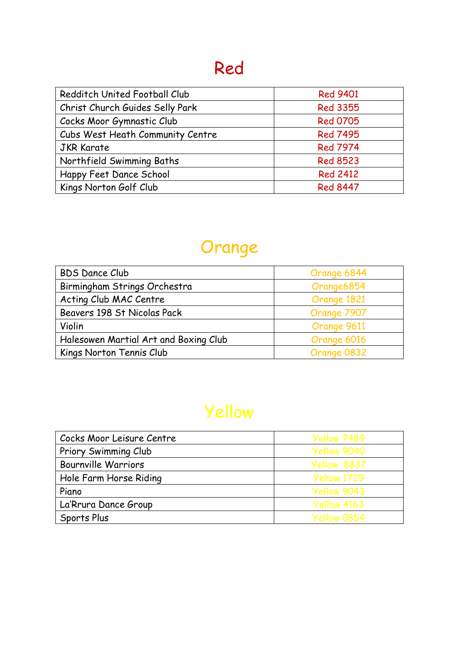## Red

| Redditch United Football Club    | <b>Red 9401</b> |
|----------------------------------|-----------------|
| Christ Church Guides Selly Park  | <b>Red 3355</b> |
| Cocks Moor Gymnastic Club        | <b>Red 0705</b> |
| Cubs West Heath Community Centre | <b>Red 7495</b> |
| <b>JKR Karate</b>                | <b>Red 7974</b> |
| Northfield Swimming Baths        | <b>Red 8523</b> |
| Happy Feet Dance School          | <b>Red 2412</b> |
| Kings Norton Golf Club           | <b>Red 8447</b> |

# Orange

| <b>BDS Dance Club</b>                 | Orange 6844 |
|---------------------------------------|-------------|
| Birmingham Strings Orchestra          | Orange6854  |
| Acting Club MAC Centre                | Orange 1821 |
| Beavers 198 St Nicolas Pack           | Orange 7907 |
| Violin                                | Orange 9611 |
| Halesowen Martial Art and Boxing Club | Orange 6016 |
| Kings Norton Tennis Club              | Orange 0832 |

# Yellow

| Cocks Moor Leisure Centre  | Yellow 7489 |
|----------------------------|-------------|
| Priory Swimming Club       | Yellow 9040 |
| <b>Bournville Warriors</b> | Yellow 8837 |
| Hole Farm Horse Riding     | Yellow 1729 |
| Piano                      | Yellow 9043 |
| La'Rrura Dance Group       | Yellow 4163 |
| Sports Plus                | Yellow 0854 |